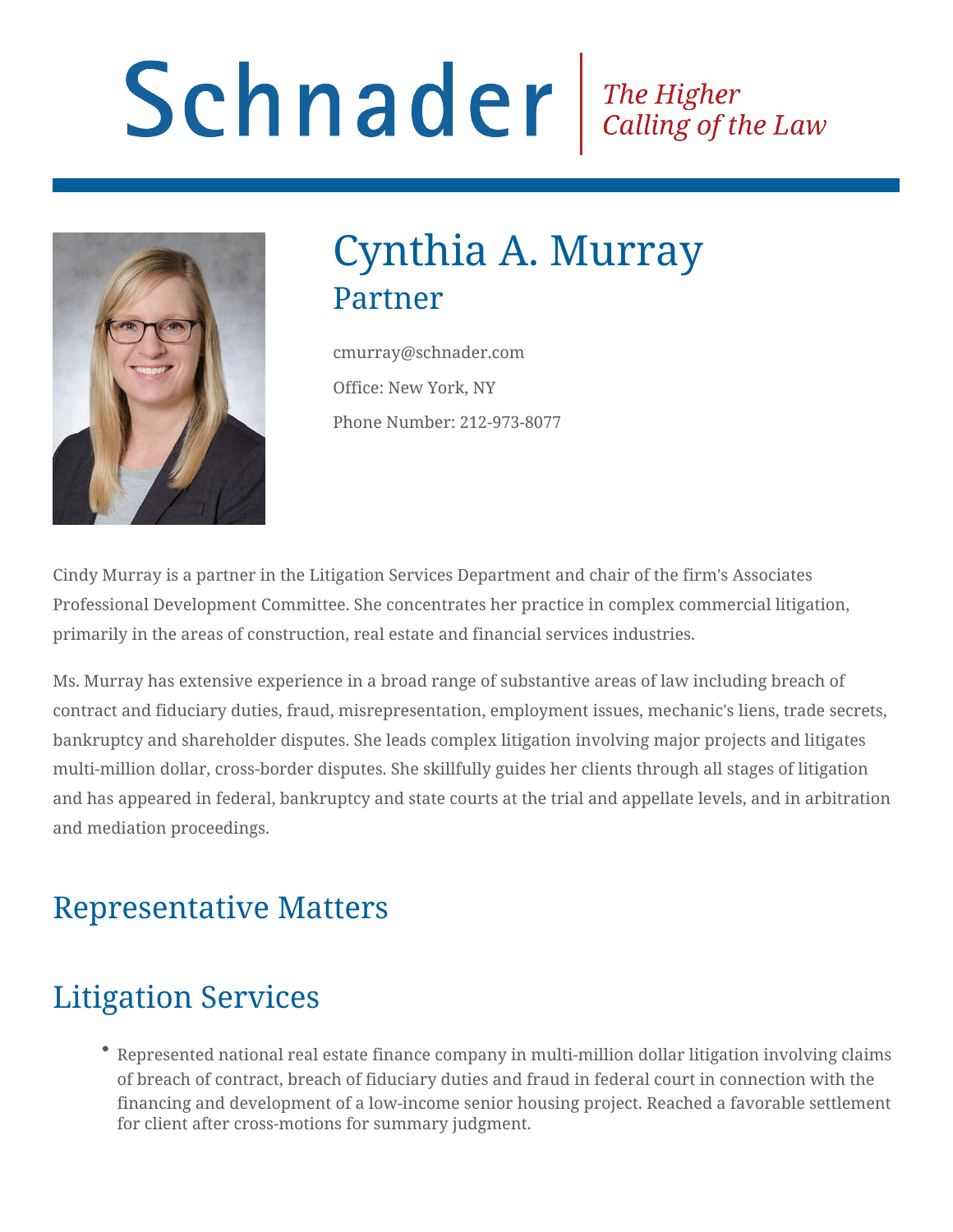# Schnader Fine Higher Calling of the Law



# Cynthia A. Murray Partner

cmurray@schnader.com Office: New York, NY Phone Number: 212-973-8077

Cindy Murray is a partner in the Litigation Services Department and chair of the firm's Associates Professional Development Committee. She concentrates her practice in complex commercial litigation, primarily in the areas of construction, real estate and financial services industries.

Ms. Murray has extensive experience in a broad range of substantive areas of law including breach of contract and fiduciary duties, fraud, misrepresentation, employment issues, mechanic's liens, trade secrets, bankruptcy and shareholder disputes. She leads complex litigation involving major projects and litigates multi-million dollar, cross-border disputes. She skillfully guides her clients through all stages of litigation and has appeared in federal, bankruptcy and state courts at the trial and appellate levels, and in arbitration and mediation proceedings.

#### Representative Matters

# Litigation Services

Represented national real estate finance company in multi-million dollar litigation involving claims of breach of contract, breach of fiduciary duties and fraud in federal court in connection with the financing and development of a low-income senior housing project. Reached a favorable settlement for client after cross-motions for summary judgment.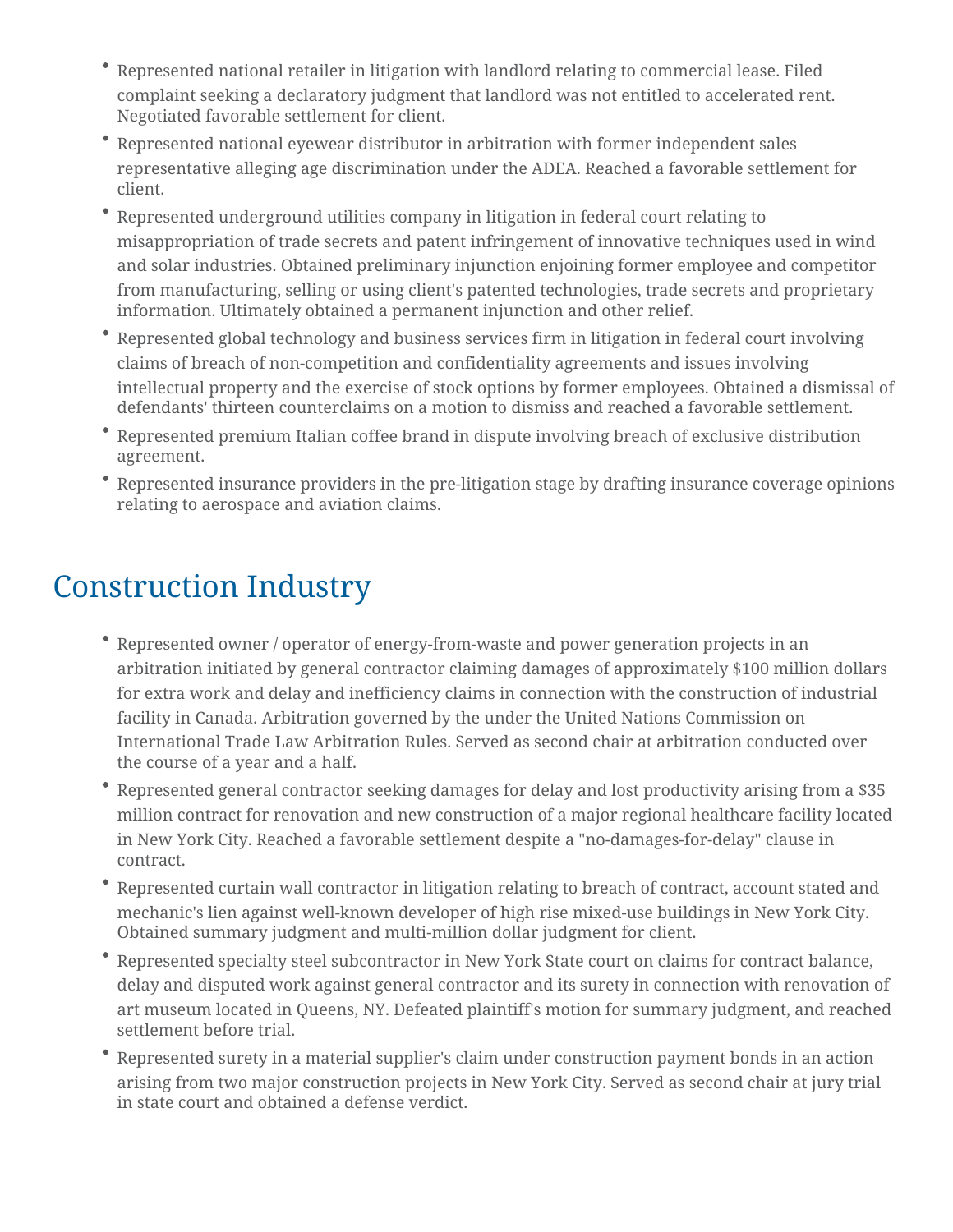- Represented national retailer in litigation with landlord relating to commercial lease. Filed complaint seeking a declaratory judgment that landlord was not entitled to accelerated rent. Negotiated favorable settlement for client.
- Represented national eyewear distributor in arbitration with former independent sales representative alleging age discrimination under the ADEA. Reached a favorable settlement for client.
- Represented underground utilities company in litigation in federal court relating to misappropriation of trade secrets and patent infringement of innovative techniques used in wind and solar industries. Obtained preliminary injunction enjoining former employee and competitor from manufacturing, selling or using client's patented technologies, trade secrets and proprietary information. Ultimately obtained a permanent injunction and other relief.
- Represented global technology and business services firm in litigation in federal court involving claims of breach of non-competition and confidentiality agreements and issues involving intellectual property and the exercise of stock options by former employees. Obtained a dismissal of defendants' thirteen counterclaims on a motion to dismiss and reached a favorable settlement.
- Represented premium Italian coffee brand in dispute involving breach of exclusive distribution agreement.
- Represented insurance providers in the pre-litigation stage by drafting insurance coverage opinions relating to aerospace and aviation claims.

### Construction Industry

- Represented owner / operator of energy-from-waste and power generation projects in an arbitration initiated by general contractor claiming damages of approximately \$100 million dollars for extra work and delay and inefficiency claims in connection with the construction of industrial facility in Canada. Arbitration governed by the under the United Nations Commission on International Trade Law Arbitration Rules. Served as second chair at arbitration conducted over the course of a year and a half.
- Represented general contractor seeking damages for delay and lost productivity arising from a \$35 million contract for renovation and new construction of a major regional healthcare facility located in New York City. Reached a favorable settlement despite a "no-damages-for-delay" clause in contract.
- Represented curtain wall contractor in litigation relating to breach of contract, account stated and mechanic's lien against well-known developer of high rise mixed-use buildings in New York City. Obtained summary judgment and multi-million dollar judgment for client.
- Represented specialty steel subcontractor in New York State court on claims for contract balance, delay and disputed work against general contractor and its surety in connection with renovation of art museum located in Queens, NY. Defeated plaintiff's motion for summary judgment, and reached settlement before trial.
- Represented surety in a material supplier's claim under construction payment bonds in an action arising from two major construction projects in New York City. Served as second chair at jury trial in state court and obtained a defense verdict.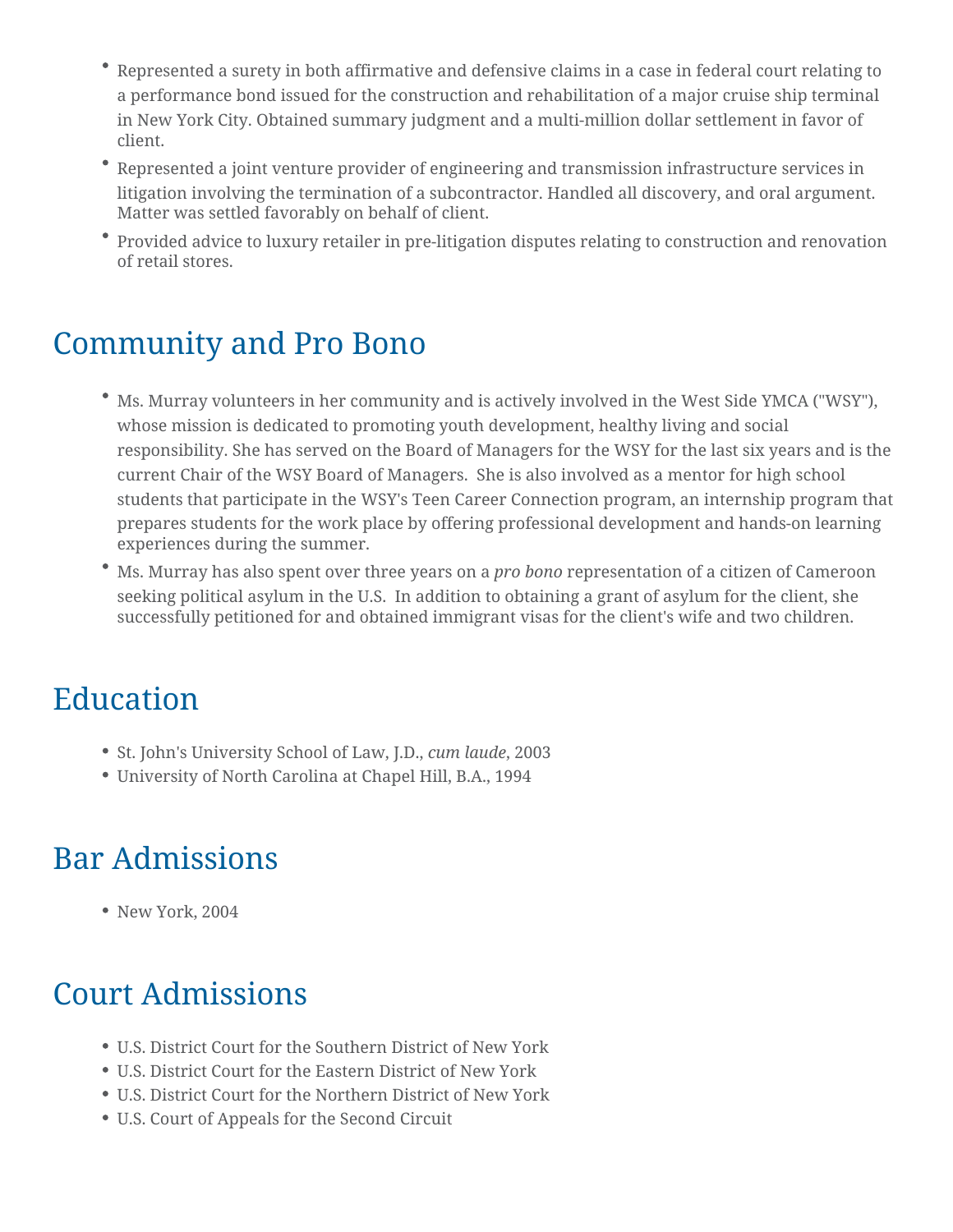- Represented a surety in both affirmative and defensive claims in a case in federal court relating to a performance bond issued for the construction and rehabilitation of a major cruise ship terminal in New York City. Obtained summary judgment and a multi-million dollar settlement in favor of client.
- Represented a joint venture provider of engineering and transmission infrastructure services in litigation involving the termination of a subcontractor. Handled all discovery, and oral argument. Matter was settled favorably on behalf of client.
- Provided advice to luxury retailer in pre-litigation disputes relating to construction and renovation of retail stores.

#### Community and Pro Bono

- Ms. Murray volunteers in her community and is actively involved in the West Side YMCA ("WSY"), whose mission is dedicated to promoting youth development, healthy living and social responsibility. She has served on the Board of Managers for the WSY for the last six years and is the current Chair of the WSY Board of Managers. She is also involved as a mentor for high school students that participate in the WSY's Teen Career Connection program, an internship program that prepares students for the work place by offering professional development and hands-on learning experiences during the summer.
- Ms. Murray has also spent over three years on a *pro bono* representation of a citizen of Cameroon seeking political asylum in the U.S. In addition to obtaining a grant of asylum for the client, she successfully petitioned for and obtained immigrant visas for the client's wife and two children.

#### Education

- St. John's University School of Law, J.D., *cum laude*, 2003
- University of North Carolina at Chapel Hill, B.A., 1994

# Bar Admissions

• New York, 2004

#### Court Admissions

- U.S. District Court for the Southern District of New York
- U.S. District Court for the Eastern District of New York
- U.S. District Court for the Northern District of New York
- U.S. Court of Appeals for the Second Circuit